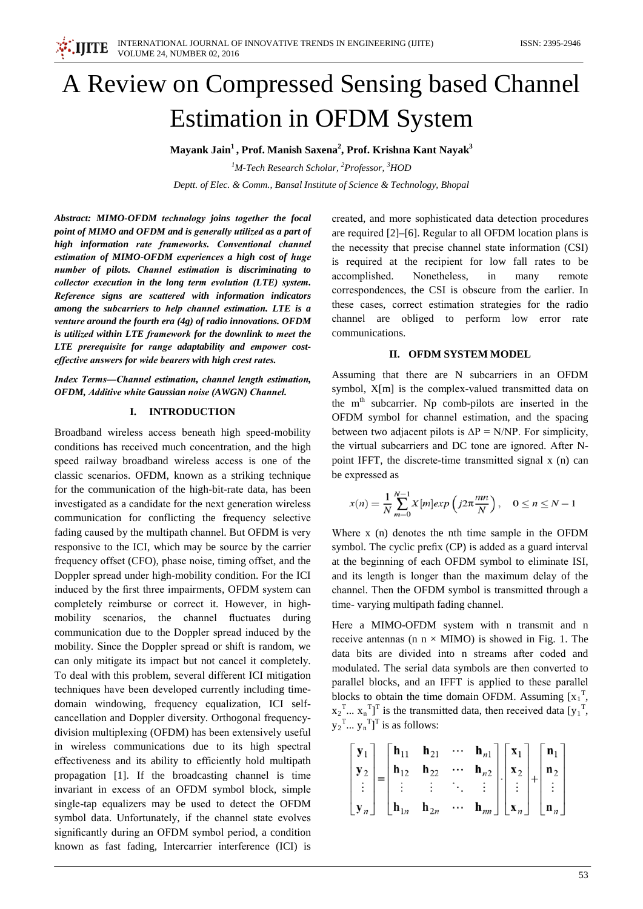# A Review on Compressed Sensing based Channel **Estimation in OFDM System**

Mayank Jain<sup>1</sup>, Prof. Manish Saxena<sup>2</sup>, Prof. Krishna Kant Nayak<sup>3</sup>

<sup>1</sup>M-Tech Research Scholar, <sup>2</sup>Professor, <sup>3</sup>HOD Deptt. of Elec. & Comm., Bansal Institute of Science & Technology, Bhopal

Abstract: MIMO-OFDM technology joins together the focal point of MIMO and OFDM and is generally utilized as a part of high information rate frameworks. Conventional channel estimation of MIMO-OFDM experiences a high cost of huge number of pilots. Channel estimation is discriminating to collector execution in the long term evolution (LTE) system. Reference signs are scattered with information indicators among the subcarriers to help channel estimation. LTE is a venture around the fourth era (4g) of radio innovations. OFDM is utilized within LTE framework for the downlink to meet the LTE prerequisite for range adaptability and empower costeffective answers for wide bearers with high crest rates.

Index Terms–Channel estimation, channel length estimation, OFDM, Additive white Gaussian noise (AWGN) Channel.

### I. INTRODUCTION

Broadband wireless access beneath high speed-mobility conditions has received much concentration, and the high speed railway broadband wireless access is one of the classic scenarios. OFDM, known as a striking technique for the communication of the high-bit-rate data, has been investigated as a candidate for the next generation wireless communication for conflicting the frequency selective fading caused by the multipath channel. But OFDM is very responsive to the ICI, which may be source by the carrier frequency offset (CFO), phase noise, timing offset, and the Doppler spread under high-mobility condition. For the ICI induced by the first three impairments, OFDM system can completely reimburse or correct it. However, in highmobility scenarios, the channel fluctuates during communication due to the Doppler spread induced by the mobility. Since the Doppler spread or shift is random, we can only mitigate its impact but not cancel it completely. To deal with this problem, several different ICI mitigation techniques have been developed currently including timedomain windowing, frequency equalization, ICI selfcancellation and Doppler diversity. Orthogonal frequencydivision multiplexing (OFDM) has been extensively useful in wireless communications due to its high spectral effectiveness and its ability to efficiently hold multipath propagation [1]. If the broadcasting channel is time invariant in excess of an OFDM symbol block, simple single-tap equalizers may be used to detect the OFDM symbol data. Unfortunately, if the channel state evolves significantly during an OFDM symbol period, a condition known as fast fading, Intercarrier interference (ICI) is

created, and more sophisticated data detection procedures are required  $[2]$ – $[6]$ . Regular to all OFDM location plans is the necessity that precise channel state information (CSI) is required at the recipient for low fall rates to be accomplished. Nonetheless, in many remote correspondences, the CSI is obscure from the earlier. In these cases, correct estimation strategies for the radio channel are obliged to perform low error rate communications.

#### II. OFDM SYSTEM MODEL

Assuming that there are N subcarriers in an OFDM symbol, X[m] is the complex-valued transmitted data on the m<sup>th</sup> subcarrier. Np comb-pilots are inserted in the OFDM symbol for channel estimation, and the spacing between two adjacent pilots is  $\Delta P = N/NP$ . For simplicity, the virtual subcarriers and DC tone are ignored. After Npoint IFFT, the discrete-time transmitted signal x (n) can be expressed as

$$
x(n) = \frac{1}{N} \sum_{m=0}^{N-1} X[m] \exp\left(j2\pi \frac{mn}{N}\right), \quad 0 \le n \le N-1
$$

Where  $x$  (n) denotes the nth time sample in the OFDM symbol. The cyclic prefix (CP) is added as a guard interval at the beginning of each OFDM symbol to eliminate ISI, and its length is longer than the maximum delay of the channel. Then the OFDM symbol is transmitted through a time-varying multipath fading channel.

Here a MIMO-OFDM system with n transmit and n receive antennas (n  $n \times MIMO$ ) is showed in Fig. 1. The data bits are divided into n streams after coded and modulated. The serial data symbols are then converted to parallel blocks, and an IFFT is applied to these parallel blocks to obtain the time domain OFDM. Assuming  $[x_1]$ ,  $x_2$ <sup>T</sup>...  $x_n$ <sup>T</sup>]<sup>T</sup> is the transmitted data, then received data [y<sub>1</sub><sup>T</sup>,  $y_2$ <sup>T</sup>...  $y_n$ <sup>T</sup> $]$ <sup>T</sup> is as follows:

$$
\begin{bmatrix} \mathbf{y}_1 \\ \mathbf{y}_2 \\ \vdots \\ \mathbf{y}_n \end{bmatrix} = \begin{bmatrix} \mathbf{h}_{11} & \mathbf{h}_{21} & \cdots & \mathbf{h}_{n1} \\ \mathbf{h}_{12} & \mathbf{h}_{22} & \cdots & \mathbf{h}_{n2} \\ \vdots & \vdots & \ddots & \vdots \\ \mathbf{h}_{1n} & \mathbf{h}_{2n} & \cdots & \mathbf{h}_{nn} \end{bmatrix} \begin{bmatrix} \mathbf{x}_1 \\ \mathbf{x}_2 \\ \vdots \\ \mathbf{x}_n \end{bmatrix} + \begin{bmatrix} \mathbf{n}_1 \\ \mathbf{n}_2 \\ \vdots \\ \mathbf{n}_n \end{bmatrix}
$$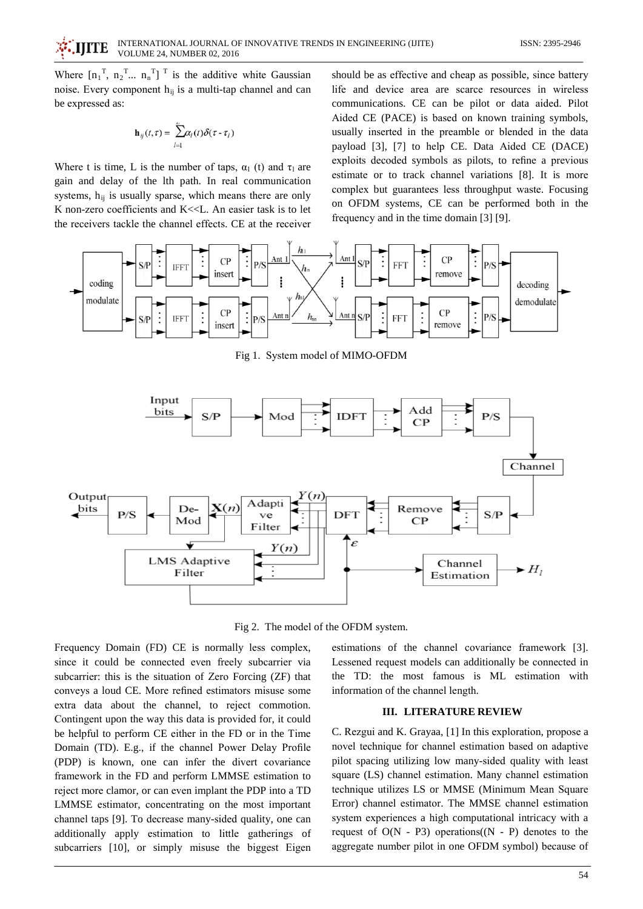

Where  $[n_1^T, n_2^T ... n_n^T]^T$  is the additive white Gaussian noise. Every component h<sub>ij</sub> is a multi-tap channel and can be expressed as:

$$
\mathbf{h}_{ij}(t,\tau) = \sum_{l=1}^{L} \alpha_l(t) \delta(\tau - \tau_l)
$$

Where t is time, L is the number of taps,  $\alpha_1$  (t) and  $\tau_1$  are gain and delay of the lth path. In real communication systems,  $h_{ii}$  is usually sparse, which means there are only K non-zero coefficients and K<<L. An easier task is to let the receivers tackle the channel effects. CE at the receiver

should be as effective and cheap as possible, since battery life and device area are scarce resources in wireless communications. CE can be pilot or data aided. Pilot Aided CE (PACE) is based on known training symbols, usually inserted in the preamble or blended in the data payload [3], [7] to help CE. Data Aided CE (DACE) exploits decoded symbols as pilots, to refine a previous estimate or to track channel variations [8]. It is more complex but guarantees less throughput waste. Focusing on OFDM systems, CE can be performed both in the frequency and in the time domain [3] [9].



Fig 2. The model of the OFDM system.

Frequency Domain (FD) CE is normally less complex, since it could be connected even freely subcarrier via subcarrier: this is the situation of Zero Forcing (ZF) that conveys a loud CE. More refined estimators misuse some extra data about the channel, to reject commotion. Contingent upon the way this data is provided for, it could be helpful to perform CE either in the FD or in the Time Domain (TD). E.g., if the channel Power Delay Profile (PDP) is known, one can infer the divert covariance framework in the FD and perform LMMSE estimation to reject more clamor, or can even implant the PDP into a TD LMMSE estimator, concentrating on the most important channel taps [9]. To decrease many-sided quality, one can additionally apply estimation to little gatherings of subcarriers [10], or simply misuse the biggest Eigen

estimations of the channel covariance framework [3]. Lessened request models can additionally be connected in the TD: the most famous is ML estimation with information of the channel length.

#### **III. LITERATURE REVIEW**

C. Rezgui and K. Grayaa, [1] In this exploration, propose a novel technique for channel estimation based on adaptive pilot spacing utilizing low many-sided quality with least square (LS) channel estimation. Many channel estimation technique utilizes LS or MMSE (Minimum Mean Square Error) channel estimator. The MMSE channel estimation system experiences a high computational intricacy with a request of  $O(N - P3)$  operations((N - P) denotes to the aggregate number pilot in one OFDM symbol) because of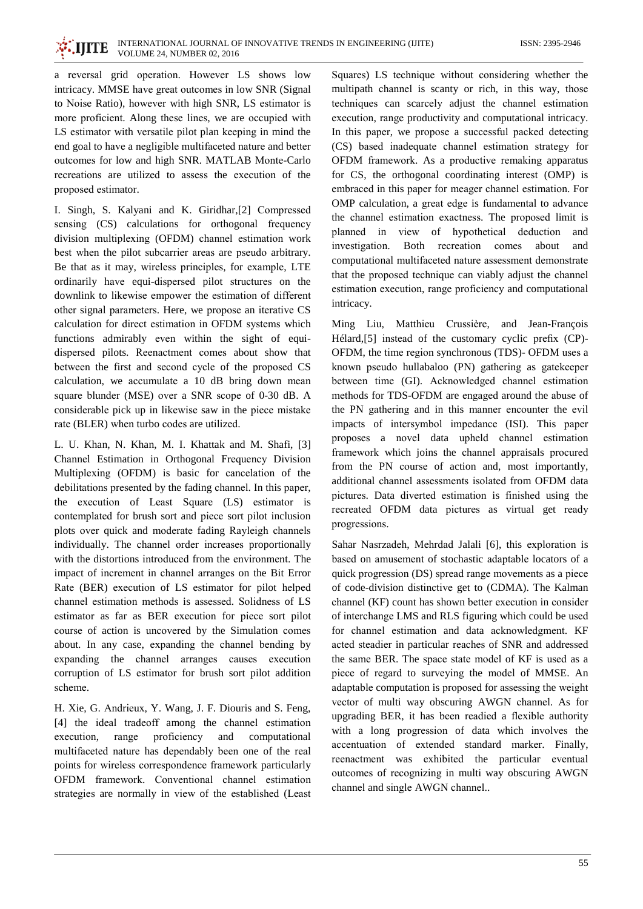

a reversal grid operation. However LS shows low intricacy. MMSE have great outcomes in low SNR (Signal to Noise Ratio), however with high SNR, LS estimator is more proficient. Along these lines, we are occupied with LS estimator with versatile pilot plan keeping in mind the end goal to have a negligible multifaceted nature and better outcomes for low and high SNR. MATLAB Monte-Carlo recreations are utilized to assess the execution of the proposed estimator.

I. Singh, S. Kalyani and K. Giridhar,[2] Compressed sensing (CS) calculations for orthogonal frequency division multiplexing (OFDM) channel estimation work best when the pilot subcarrier areas are pseudo arbitrary. Be that as it may, wireless principles, for example, LTE ordinarily have equi-dispersed pilot structures on the downlink to likewise empower the estimation of different other signal parameters. Here, we propose an iterative CS calculation for direct estimation in OFDM systems which functions admirably even within the sight of equidispersed pilots. Reenactment comes about show that between the first and second cycle of the proposed CS calculation, we accumulate a 10 dB bring down mean square blunder (MSE) over a SNR scope of 0-30 dB. A considerable pick up in likewise saw in the piece mistake rate (BLER) when turbo codes are utilized.

L. U. Khan, N. Khan, M. I. Khattak and M. Shafi, [3] Channel Estimation in Orthogonal Frequency Division Multiplexing (OFDM) is basic for cancelation of the debilitations presented by the fading channel. In this paper, the execution of Least Square (LS) estimator is contemplated for brush sort and piece sort pilot inclusion plots over quick and moderate fading Rayleigh channels individually. The channel order increases proportionally with the distortions introduced from the environment. The impact of increment in channel arranges on the Bit Error Rate (BER) execution of LS estimator for pilot helped channel estimation methods is assessed. Solidness of LS estimator as far as BER execution for piece sort pilot course of action is uncovered by the Simulation comes about. In any case, expanding the channel bending by expanding the channel arranges causes execution corruption of LS estimator for brush sort pilot addition scheme.

H. Xie, G. Andrieux, Y. Wang, J. F. Diouris and S. Feng, [4] the ideal tradeoff among the channel estimation execution, range proficiency and computational multifaceted nature has dependably been one of the real points for wireless correspondence framework particularly OFDM framework. Conventional channel estimation strategies are normally in view of the established (Least

Squares) LS technique without considering whether the multipath channel is scanty or rich, in this way, those techniques can scarcely adjust the channel estimation execution, range productivity and computational intricacy. In this paper, we propose a successful packed detecting (CS) based inadequate channel estimation strategy for OFDM framework. As a productive remaking apparatus for CS, the orthogonal coordinating interest (OMP) is embraced in this paper for meager channel estimation. For OMP calculation, a great edge is fundamental to advance the channel estimation exactness. The proposed limit is planned in view of hypothetical deduction and investigation. Both recreation comes about and computational multifaceted nature assessment demonstrate that the proposed technique can viably adjust the channel estimation execution, range proficiency and computational intricacy.

Ming Liu, Matthieu Crussière, and Jean-François Hélard.[5] instead of the customary cyclic prefix (CP)-OFDM, the time region synchronous (TDS)- OFDM uses a known pseudo hullabaloo (PN) gathering as gatekeeper between time (GI). Acknowledged channel estimation methods for TDS-OFDM are engaged around the abuse of the PN gathering and in this manner encounter the evil impacts of intersymbol impedance (ISI). This paper proposes a novel data upheld channel estimation framework which joins the channel appraisals procured from the PN course of action and, most importantly, additional channel assessments isolated from OFDM data pictures. Data diverted estimation is finished using the recreated OFDM data pictures as virtual get ready progressions.

Sahar Nasrzadeh, Mehrdad Jalali [6], this exploration is based on amusement of stochastic adaptable locators of a quick progression (DS) spread range movements as a piece of code-division distinctive get to (CDMA). The Kalman channel (KF) count has shown better execution in consider of interchange LMS and RLS figuring which could be used for channel estimation and data acknowledgment. KF acted steadier in particular reaches of SNR and addressed the same BER. The space state model of KF is used as a piece of regard to surveying the model of MMSE. An adaptable computation is proposed for assessing the weight vector of multi way obscuring AWGN channel. As for upgrading BER, it has been readied a flexible authority with a long progression of data which involves the accentuation of extended standard marker. Finally, reenactment was exhibited the particular eventual outcomes of recognizing in multi way obscuring AWGN channel and single AWGN channel...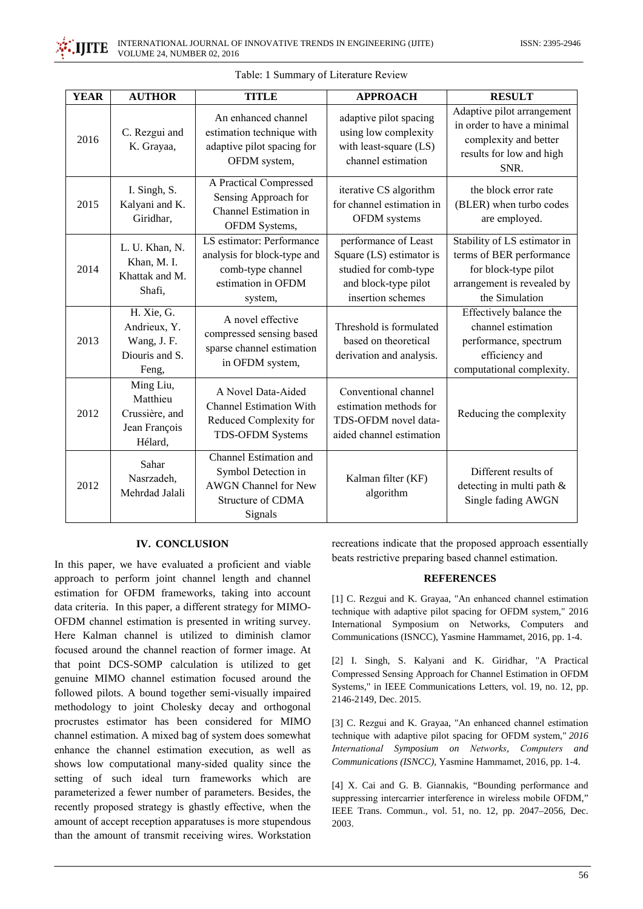| <b>YEAR</b> | <b>AUTHOR</b>                                                        | <b>TITLE</b>                                                                                                        | <b>APPROACH</b>                                                                                                        | <b>RESULT</b>                                                                                                                    |
|-------------|----------------------------------------------------------------------|---------------------------------------------------------------------------------------------------------------------|------------------------------------------------------------------------------------------------------------------------|----------------------------------------------------------------------------------------------------------------------------------|
| 2016        | C. Rezgui and<br>K. Grayaa,                                          | An enhanced channel<br>estimation technique with<br>adaptive pilot spacing for<br>OFDM system,                      | adaptive pilot spacing<br>using low complexity<br>with least-square (LS)<br>channel estimation                         | Adaptive pilot arrangement<br>in order to have a minimal<br>complexity and better<br>results for low and high<br>SNR.            |
| 2015        | I. Singh, S.<br>Kalyani and K.<br>Giridhar,                          | A Practical Compressed<br>Sensing Approach for<br>Channel Estimation in<br>OFDM Systems,                            | iterative CS algorithm<br>for channel estimation in<br>OFDM systems                                                    | the block error rate<br>(BLER) when turbo codes<br>are employed.                                                                 |
| 2014        | L. U. Khan, N.<br>Khan, M.I.<br>Khattak and M.<br>Shafi,             | LS estimator: Performance<br>analysis for block-type and<br>comb-type channel<br>estimation in OFDM<br>system,      | performance of Least<br>Square (LS) estimator is<br>studied for comb-type<br>and block-type pilot<br>insertion schemes | Stability of LS estimator in<br>terms of BER performance<br>for block-type pilot<br>arrangement is revealed by<br>the Simulation |
| 2013        | H. Xie, G.<br>Andrieux, Y.<br>Wang, J. F.<br>Diouris and S.<br>Feng, | A novel effective<br>compressed sensing based<br>sparse channel estimation<br>in OFDM system,                       | Threshold is formulated<br>based on theoretical<br>derivation and analysis.                                            | Effectively balance the<br>channel estimation<br>performance, spectrum<br>efficiency and<br>computational complexity.            |
| 2012        | Ming Liu,<br>Matthieu<br>Crussière, and<br>Jean François<br>Hélard,  | A Novel Data-Aided<br><b>Channel Estimation With</b><br>Reduced Complexity for<br>TDS-OFDM Systems                  | Conventional channel<br>estimation methods for<br>TDS-OFDM novel data-<br>aided channel estimation                     | Reducing the complexity                                                                                                          |
| 2012        | Sahar<br>Nasrzadeh,<br>Mehrdad Jalali                                | <b>Channel Estimation and</b><br>Symbol Detection in<br><b>AWGN</b> Channel for New<br>Structure of CDMA<br>Signals | Kalman filter (KF)<br>algorithm                                                                                        | Different results of<br>detecting in multi path &<br>Single fading AWGN                                                          |

|  | Table: 1 Summary of Literature Review |  |
|--|---------------------------------------|--|
|  |                                       |  |

## **IV. CONCLUSION**

In this paper, we have evaluated a proficient and viable approach to perform joint channel length and channel estimation for OFDM frameworks, taking into account data criteria. In this paper, a different strategy for MIMO-OFDM channel estimation is presented in writing survey. Here Kalman channel is utilized to diminish clamor focused around the channel reaction of former image. At that point DCS-SOMP calculation is utilized to get genuine MIMO channel estimation focused around the followed pilots. A bound together semi-visually impaired methodology to joint Cholesky decay and orthogonal procrustes estimator has been considered for MIMO channel estimation. A mixed bag of system does somewhat enhance the channel estimation execution, as well as shows low computational many-sided quality since the setting of such ideal turn frameworks which are parameterized a fewer number of parameters. Besides, the recently proposed strategy is ghastly effective, when the amount of accept reception apparatuses is more stupendous than the amount of transmit receiving wires. Workstation

recreations indicate that the proposed approach essentially beats restrictive preparing based channel estimation.

#### **REFERENCES**

[1] C. Rezgui and K. Grayaa, "An enhanced channel estimation technique with adaptive pilot spacing for OFDM system," 2016 International Symposium on Networks, Computers and Communications (ISNCC), Yasmine Hammamet, 2016, pp. 1-4.

[2] I. Singh, S. Kalvani and K. Giridhar, "A Practical Compressed Sensing Approach for Channel Estimation in OFDM Systems," in IEEE Communications Letters, vol. 19, no. 12, pp. 2146-2149, Dec. 2015.

[3] C. Rezgui and K. Grayaa, "An enhanced channel estimation technique with adaptive pilot spacing for OFDM system," 2016 International Symposium on Networks, Computers and Communications (ISNCC), Yasmine Hammamet, 2016, pp. 1-4.

[4] X. Cai and G. B. Giannakis, "Bounding performance and suppressing intercarrier interference in wireless mobile OFDM," IEEE Trans. Commun., vol. 51, no. 12, pp. 2047-2056, Dec. 2003.